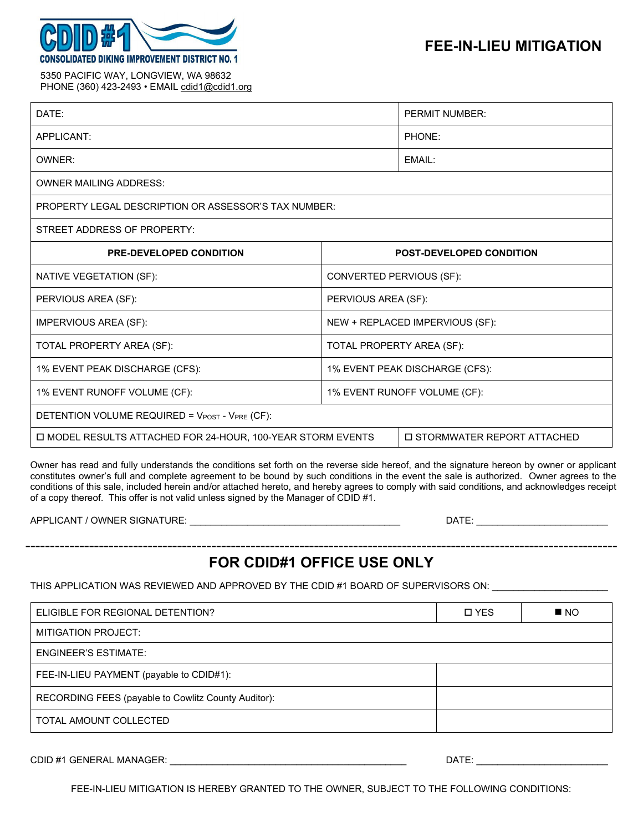

5350 PACIFIC WAY, LONGVIEW, WA 98632 PHONE (360) 423-2493 • EMAIL cdid1@cdid1.org

| DATE:                                                       |                                 | <b>PERMIT NUMBER:</b>        |  |  |
|-------------------------------------------------------------|---------------------------------|------------------------------|--|--|
| APPLICANT:                                                  |                                 | PHONE:                       |  |  |
| OWNER:                                                      |                                 | EMAIL:                       |  |  |
| <b>OWNER MAILING ADDRESS:</b>                               |                                 |                              |  |  |
| <b>PROPERTY LEGAL DESCRIPTION OR ASSESSOR'S TAX NUMBER:</b> |                                 |                              |  |  |
| STREET ADDRESS OF PROPERTY:                                 |                                 |                              |  |  |
| <b>PRE-DEVELOPED CONDITION</b>                              | <b>POST-DEVELOPED CONDITION</b> |                              |  |  |
| NATIVE VEGETATION (SF):                                     | CONVERTED PERVIOUS (SF):        |                              |  |  |
| PERVIOUS AREA (SF):                                         | PERVIOUS AREA (SF):             |                              |  |  |
| <b>IMPERVIOUS AREA (SF):</b>                                | NEW + REPLACED IMPERVIOUS (SF): |                              |  |  |
| TOTAL PROPERTY AREA (SF):                                   | TOTAL PROPERTY AREA (SF):       |                              |  |  |
| 1% EVENT PEAK DISCHARGE (CFS):                              | 1% EVENT PEAK DISCHARGE (CFS):  |                              |  |  |
| 1% EVENT RUNOFF VOLUME (CF):                                | 1% EVENT RUNOFF VOLUME (CF):    |                              |  |  |
| DETENTION VOLUME REQUIRED = VPOST - VPRE (CF):              |                                 |                              |  |  |
| □ MODEL RESULTS ATTACHED FOR 24-HOUR, 100-YEAR STORM EVENTS |                                 | □ STORMWATER REPORT ATTACHED |  |  |

Owner has read and fully understands the conditions set forth on the reverse side hereof, and the signature hereon by owner or applicant constitutes owner's full and complete agreement to be bound by such conditions in the event the sale is authorized. Owner agrees to the conditions of this sale, included herein and/or attached hereto, and hereby agrees to comply with said conditions, and acknowledges receipt of a copy thereof. This offer is not valid unless signed by the Manager of CDID #1.

APPLICANT / OWNER SIGNATURE: \_\_\_\_\_\_\_\_\_\_\_\_\_\_\_\_\_\_\_\_\_\_\_\_\_\_\_\_\_\_\_\_\_\_\_\_\_\_\_\_ DATE: \_\_\_\_\_\_\_\_\_\_\_\_\_\_\_\_\_\_\_\_\_\_\_\_\_

-------------------------------------------------------------------------------------------------------------------------

## **FOR CDID#1 OFFICE USE ONLY**

THIS APPLICATION WAS REVIEWED AND APPROVED BY THE CDID #1 BOARD OF SUPERVISORS ON: \_\_\_\_\_\_\_\_\_\_\_\_\_\_\_\_

| ELIGIBLE FOR REGIONAL DETENTION?                    | <b>D</b> YES | $\blacksquare$ NO |
|-----------------------------------------------------|--------------|-------------------|
| <b>MITIGATION PROJECT:</b>                          |              |                   |
| <b>ENGINEER'S ESTIMATE:</b>                         |              |                   |
| FEE-IN-LIEU PAYMENT (payable to CDID#1):            |              |                   |
| RECORDING FEES (payable to Cowlitz County Auditor): |              |                   |
| TOTAL AMOUNT COLLECTED                              |              |                   |

CDID #1 GENERAL MANAGER: \_\_\_\_\_\_\_\_\_\_\_\_\_\_\_\_\_\_\_\_\_\_\_\_\_\_\_\_\_\_\_\_\_\_\_\_\_\_\_\_\_\_\_\_\_ DATE: \_\_\_\_\_\_\_\_\_\_\_\_\_\_\_\_\_\_\_\_\_\_\_\_\_

FEE-IN-LIEU MITIGATION IS HEREBY GRANTED TO THE OWNER, SUBJECT TO THE FOLLOWING CONDITIONS: